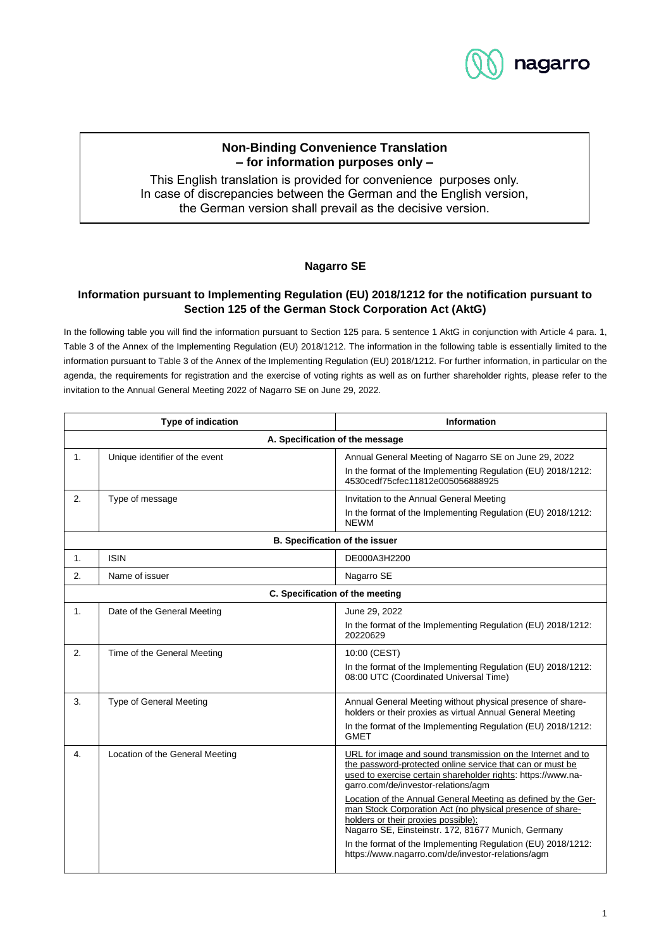

# **Non-Binding Convenience Translation – for information purposes only –**

This English translation is provided for convenience purposes only. In case of discrepancies between the German and the English version, the German version shall prevail as the decisive version.

### **Nagarro SE**

## **Information pursuant to Implementing Regulation (EU) 2018/1212 for the notification pursuant to Section 125 of the German Stock Corporation Act (AktG)**

In the following table you will find the information pursuant to Section 125 para. 5 sentence 1 AktG in conjunction with Article 4 para. 1, Table 3 of the Annex of the Implementing Regulation (EU) 2018/1212. The information in the following table is essentially limited to the information pursuant to Table 3 of the Annex of the Implementing Regulation (EU) 2018/1212. For further information, in particular on the agenda, the requirements for registration and the exercise of voting rights as well as on further shareholder rights, please refer to the invitation to the Annual General Meeting 2022 of Nagarro SE on June 29, 2022.

| <b>Type of indication</b>       |                                 | <b>Information</b>                                                                                                                                                                                                                                                                                                                                                                                                                                                                                                                                                               |  |  |
|---------------------------------|---------------------------------|----------------------------------------------------------------------------------------------------------------------------------------------------------------------------------------------------------------------------------------------------------------------------------------------------------------------------------------------------------------------------------------------------------------------------------------------------------------------------------------------------------------------------------------------------------------------------------|--|--|
| A. Specification of the message |                                 |                                                                                                                                                                                                                                                                                                                                                                                                                                                                                                                                                                                  |  |  |
| 1.                              | Unique identifier of the event  | Annual General Meeting of Nagarro SE on June 29, 2022<br>In the format of the Implementing Regulation (EU) 2018/1212:<br>4530cedf75cfec11812e005056888925                                                                                                                                                                                                                                                                                                                                                                                                                        |  |  |
| 2.                              | Type of message                 | Invitation to the Annual General Meeting<br>In the format of the Implementing Regulation (EU) 2018/1212:<br><b>NFWM</b>                                                                                                                                                                                                                                                                                                                                                                                                                                                          |  |  |
| B. Specification of the issuer  |                                 |                                                                                                                                                                                                                                                                                                                                                                                                                                                                                                                                                                                  |  |  |
| 1.                              | <b>ISIN</b>                     | DE000A3H2200                                                                                                                                                                                                                                                                                                                                                                                                                                                                                                                                                                     |  |  |
| 2.                              | Name of issuer                  | Nagarro SE                                                                                                                                                                                                                                                                                                                                                                                                                                                                                                                                                                       |  |  |
| C. Specification of the meeting |                                 |                                                                                                                                                                                                                                                                                                                                                                                                                                                                                                                                                                                  |  |  |
| 1.                              | Date of the General Meeting     | June 29, 2022<br>In the format of the Implementing Regulation (EU) 2018/1212:<br>20220629                                                                                                                                                                                                                                                                                                                                                                                                                                                                                        |  |  |
| 2.                              | Time of the General Meeting     | 10:00 (CEST)<br>In the format of the Implementing Regulation (EU) 2018/1212:<br>08:00 UTC (Coordinated Universal Time)                                                                                                                                                                                                                                                                                                                                                                                                                                                           |  |  |
| 3.                              | Type of General Meeting         | Annual General Meeting without physical presence of share-<br>holders or their proxies as virtual Annual General Meeting<br>In the format of the Implementing Regulation (EU) 2018/1212:<br><b>GMET</b>                                                                                                                                                                                                                                                                                                                                                                          |  |  |
| 4.                              | Location of the General Meeting | URL for image and sound transmission on the Internet and to<br>the password-protected online service that can or must be<br>used to exercise certain shareholder rights: https://www.na-<br>garro.com/de/investor-relations/agm<br>Location of the Annual General Meeting as defined by the Ger-<br>man Stock Corporation Act (no physical presence of share-<br>holders or their proxies possible):<br>Nagarro SE, Einsteinstr. 172, 81677 Munich, Germany<br>In the format of the Implementing Regulation (EU) 2018/1212:<br>https://www.nagarro.com/de/investor-relations/agm |  |  |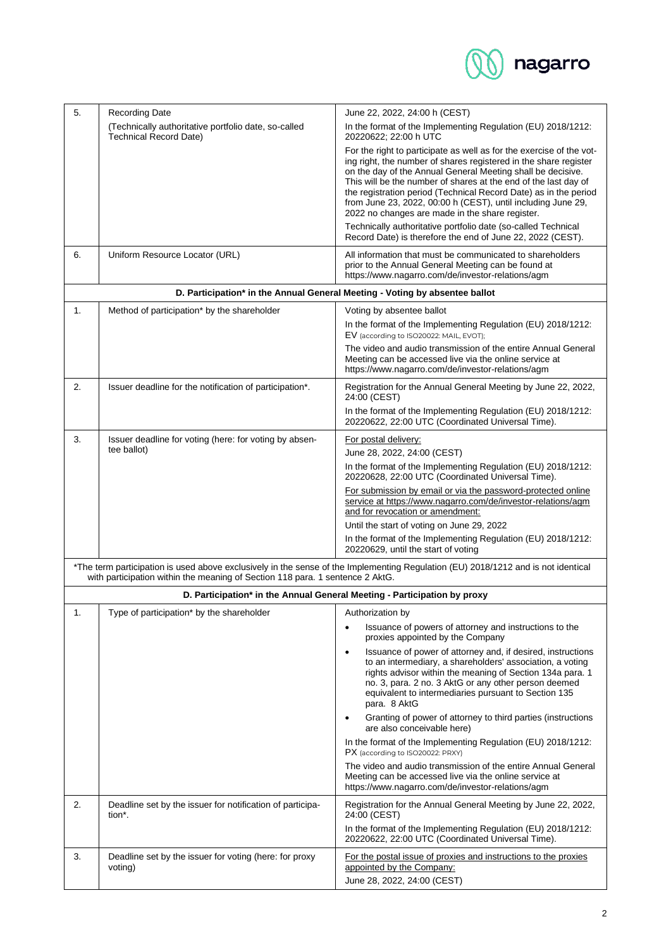

| 5. | <b>Recording Date</b>                                                                 | June 22, 2022, 24:00 h (CEST)                                                                                                                                                                                                                                                                                                                                                                                                                                     |
|----|---------------------------------------------------------------------------------------|-------------------------------------------------------------------------------------------------------------------------------------------------------------------------------------------------------------------------------------------------------------------------------------------------------------------------------------------------------------------------------------------------------------------------------------------------------------------|
|    | (Technically authoritative portfolio date, so-called<br><b>Technical Record Date)</b> | In the format of the Implementing Regulation (EU) 2018/1212:<br>20220622; 22:00 h UTC                                                                                                                                                                                                                                                                                                                                                                             |
|    |                                                                                       | For the right to participate as well as for the exercise of the vot-<br>ing right, the number of shares registered in the share register<br>on the day of the Annual General Meeting shall be decisive.<br>This will be the number of shares at the end of the last day of<br>the registration period (Technical Record Date) as in the period<br>from June 23, 2022, 00:00 h (CEST), until including June 29,<br>2022 no changes are made in the share register. |
|    |                                                                                       | Technically authoritative portfolio date (so-called Technical<br>Record Date) is therefore the end of June 22, 2022 (CEST).                                                                                                                                                                                                                                                                                                                                       |
| 6. | Uniform Resource Locator (URL)                                                        | All information that must be communicated to shareholders<br>prior to the Annual General Meeting can be found at<br>https://www.nagarro.com/de/investor-relations/agm                                                                                                                                                                                                                                                                                             |
|    | D. Participation* in the Annual General Meeting - Voting by absentee ballot           |                                                                                                                                                                                                                                                                                                                                                                                                                                                                   |
| 1. | Method of participation* by the shareholder                                           | Voting by absentee ballot                                                                                                                                                                                                                                                                                                                                                                                                                                         |
|    |                                                                                       | In the format of the Implementing Regulation (EU) 2018/1212:<br>EV (according to ISO20022: MAIL, EVOT);                                                                                                                                                                                                                                                                                                                                                           |
|    |                                                                                       | The video and audio transmission of the entire Annual General<br>Meeting can be accessed live via the online service at<br>https://www.nagarro.com/de/investor-relations/agm                                                                                                                                                                                                                                                                                      |
| 2. | Issuer deadline for the notification of participation*.                               | Registration for the Annual General Meeting by June 22, 2022,<br>24:00 (CEST)                                                                                                                                                                                                                                                                                                                                                                                     |
|    |                                                                                       | In the format of the Implementing Regulation (EU) 2018/1212:<br>20220622, 22:00 UTC (Coordinated Universal Time).                                                                                                                                                                                                                                                                                                                                                 |
| 3. | Issuer deadline for voting (here: for voting by absen-                                | For postal delivery:                                                                                                                                                                                                                                                                                                                                                                                                                                              |
|    | tee ballot)                                                                           | June 28, 2022, 24:00 (CEST)                                                                                                                                                                                                                                                                                                                                                                                                                                       |
|    |                                                                                       | In the format of the Implementing Regulation (EU) 2018/1212:<br>20220628, 22:00 UTC (Coordinated Universal Time).                                                                                                                                                                                                                                                                                                                                                 |
|    |                                                                                       | For submission by email or via the password-protected online<br>service at https://www.nagarro.com/de/investor-relations/agm<br>and for revocation or amendment:                                                                                                                                                                                                                                                                                                  |
|    |                                                                                       | Until the start of voting on June 29, 2022                                                                                                                                                                                                                                                                                                                                                                                                                        |
|    |                                                                                       | In the format of the Implementing Regulation (EU) 2018/1212:<br>20220629, until the start of voting                                                                                                                                                                                                                                                                                                                                                               |
|    | with participation within the meaning of Section 118 para. 1 sentence 2 AktG.         | *The term participation is used above exclusively in the sense of the Implementing Regulation (EU) 2018/1212 and is not identical                                                                                                                                                                                                                                                                                                                                 |
|    | D. Participation* in the Annual General Meeting - Participation by proxy              |                                                                                                                                                                                                                                                                                                                                                                                                                                                                   |
| 1. | Type of participation* by the shareholder                                             | Authorization by                                                                                                                                                                                                                                                                                                                                                                                                                                                  |
|    |                                                                                       | Issuance of powers of attorney and instructions to the<br>proxies appointed by the Company                                                                                                                                                                                                                                                                                                                                                                        |
|    |                                                                                       | Issuance of power of attorney and, if desired, instructions<br>$\bullet$<br>to an intermediary, a shareholders' association, a voting<br>rights advisor within the meaning of Section 134a para. 1<br>no. 3, para. 2 no. 3 AktG or any other person deemed<br>equivalent to intermediaries pursuant to Section 135<br>para. 8 AktG                                                                                                                                |
|    |                                                                                       | Granting of power of attorney to third parties (instructions<br>$\bullet$<br>are also conceivable here)                                                                                                                                                                                                                                                                                                                                                           |
|    |                                                                                       | In the format of the Implementing Regulation (EU) 2018/1212:<br>PX (according to ISO20022: PRXY)                                                                                                                                                                                                                                                                                                                                                                  |
|    |                                                                                       | The video and audio transmission of the entire Annual General<br>Meeting can be accessed live via the online service at<br>https://www.nagarro.com/de/investor-relations/agm                                                                                                                                                                                                                                                                                      |
| 2. | Deadline set by the issuer for notification of participa-<br>tion <sup>*</sup> .      | Registration for the Annual General Meeting by June 22, 2022,<br>24:00 (CEST)                                                                                                                                                                                                                                                                                                                                                                                     |
|    |                                                                                       | In the format of the Implementing Regulation (EU) 2018/1212:<br>20220622, 22:00 UTC (Coordinated Universal Time).                                                                                                                                                                                                                                                                                                                                                 |
| 3. | Deadline set by the issuer for voting (here: for proxy<br>voting)                     | For the postal issue of proxies and instructions to the proxies<br>appointed by the Company:<br>June 28, 2022, 24:00 (CEST)                                                                                                                                                                                                                                                                                                                                       |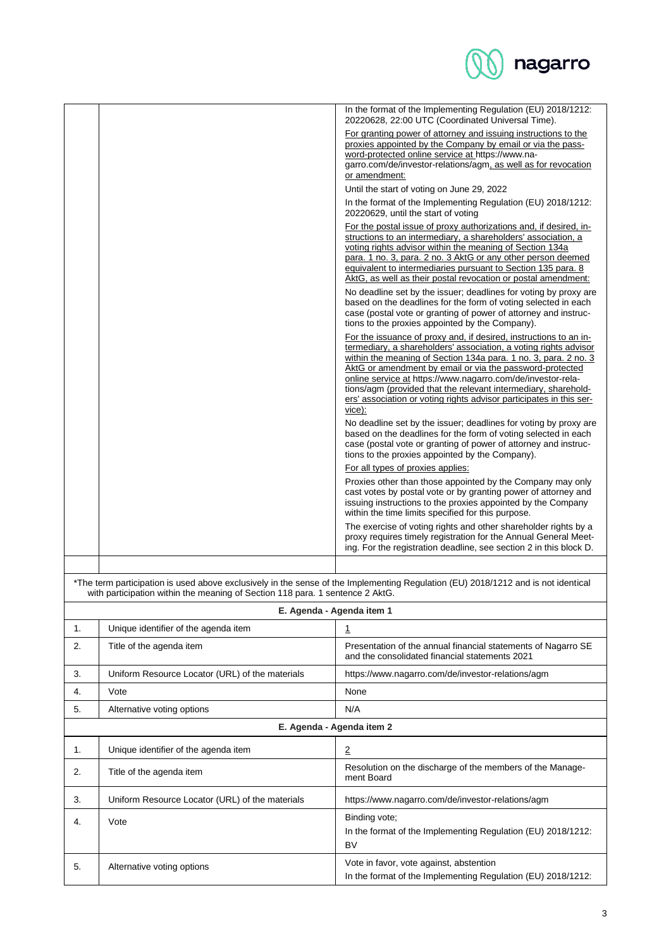

|    |                                                                               | In the format of the Implementing Regulation (EU) 2018/1212:<br>20220628, 22:00 UTC (Coordinated Universal Time).                                                                                                                                                                                                          |
|----|-------------------------------------------------------------------------------|----------------------------------------------------------------------------------------------------------------------------------------------------------------------------------------------------------------------------------------------------------------------------------------------------------------------------|
|    |                                                                               | For granting power of attorney and issuing instructions to the<br>proxies appointed by the Company by email or via the pass-<br>word-protected online service at https://www.na-<br>garro.com/de/investor-relations/agm, as well as for revocation<br>or amendment:                                                        |
|    |                                                                               | Until the start of voting on June 29, 2022                                                                                                                                                                                                                                                                                 |
|    |                                                                               | In the format of the Implementing Regulation (EU) 2018/1212:<br>20220629, until the start of voting                                                                                                                                                                                                                        |
|    |                                                                               | For the postal issue of proxy authorizations and, if desired, in-                                                                                                                                                                                                                                                          |
|    |                                                                               | structions to an intermediary, a shareholders' association, a<br>voting rights advisor within the meaning of Section 134a<br>para. 1 no. 3, para. 2 no. 3 AktG or any other person deemed<br>equivalent to intermediaries pursuant to Section 135 para. 8<br>AktG, as well as their postal revocation or postal amendment: |
|    |                                                                               | No deadline set by the issuer; deadlines for voting by proxy are<br>based on the deadlines for the form of voting selected in each<br>case (postal vote or granting of power of attorney and instruc-<br>tions to the proxies appointed by the Company).                                                                   |
|    |                                                                               | For the issuance of proxy and, if desired, instructions to an in-<br>termediary, a shareholders' association, a voting rights advisor<br>within the meaning of Section 134a para. 1 no. 3, para. 2 no. 3<br>AktG or amendment by email or via the password-protected                                                       |
|    |                                                                               | online service at https://www.nagarro.com/de/investor-rela-<br>tions/agm (provided that the relevant intermediary, sharehold-<br>ers' association or voting rights advisor participates in this ser-<br>vice):                                                                                                             |
|    |                                                                               | No deadline set by the issuer; deadlines for voting by proxy are<br>based on the deadlines for the form of voting selected in each<br>case (postal vote or granting of power of attorney and instruc-<br>tions to the proxies appointed by the Company).                                                                   |
|    |                                                                               | For all types of proxies applies:                                                                                                                                                                                                                                                                                          |
|    |                                                                               | Proxies other than those appointed by the Company may only<br>cast votes by postal vote or by granting power of attorney and<br>issuing instructions to the proxies appointed by the Company<br>within the time limits specified for this purpose.                                                                         |
|    |                                                                               | The exercise of voting rights and other shareholder rights by a<br>proxy requires timely registration for the Annual General Meet-<br>ing. For the registration deadline, see section 2 in this block D.                                                                                                                   |
|    |                                                                               |                                                                                                                                                                                                                                                                                                                            |
|    | with participation within the meaning of Section 118 para. 1 sentence 2 AktG. | *The term participation is used above exclusively in the sense of the Implementing Regulation (EU) 2018/1212 and is not identical                                                                                                                                                                                          |
|    | E. Agenda - Agenda item 1                                                     |                                                                                                                                                                                                                                                                                                                            |
| 1. | Unique identifier of the agenda item                                          | 1                                                                                                                                                                                                                                                                                                                          |
| 2. | Title of the agenda item                                                      | Presentation of the annual financial statements of Nagarro SE<br>and the consolidated financial statements 2021                                                                                                                                                                                                            |
| 3. | Uniform Resource Locator (URL) of the materials                               | https://www.nagarro.com/de/investor-relations/agm                                                                                                                                                                                                                                                                          |
| 4. | Vote                                                                          | None                                                                                                                                                                                                                                                                                                                       |
| 5. | Alternative voting options                                                    | N/A                                                                                                                                                                                                                                                                                                                        |
|    | E. Agenda - Agenda item 2                                                     |                                                                                                                                                                                                                                                                                                                            |
| 1. | Unique identifier of the agenda item                                          | $\overline{2}$                                                                                                                                                                                                                                                                                                             |
| 2. | Title of the agenda item                                                      | Resolution on the discharge of the members of the Manage-<br>ment Board                                                                                                                                                                                                                                                    |
| 3. | Uniform Resource Locator (URL) of the materials                               | https://www.nagarro.com/de/investor-relations/agm                                                                                                                                                                                                                                                                          |
| 4. | Vote                                                                          | Binding vote;<br>In the format of the Implementing Regulation (EU) 2018/1212:<br><b>BV</b>                                                                                                                                                                                                                                 |
| 5. | Alternative voting options                                                    | Vote in favor, vote against, abstention<br>In the format of the Implementing Regulation (EU) 2018/1212:                                                                                                                                                                                                                    |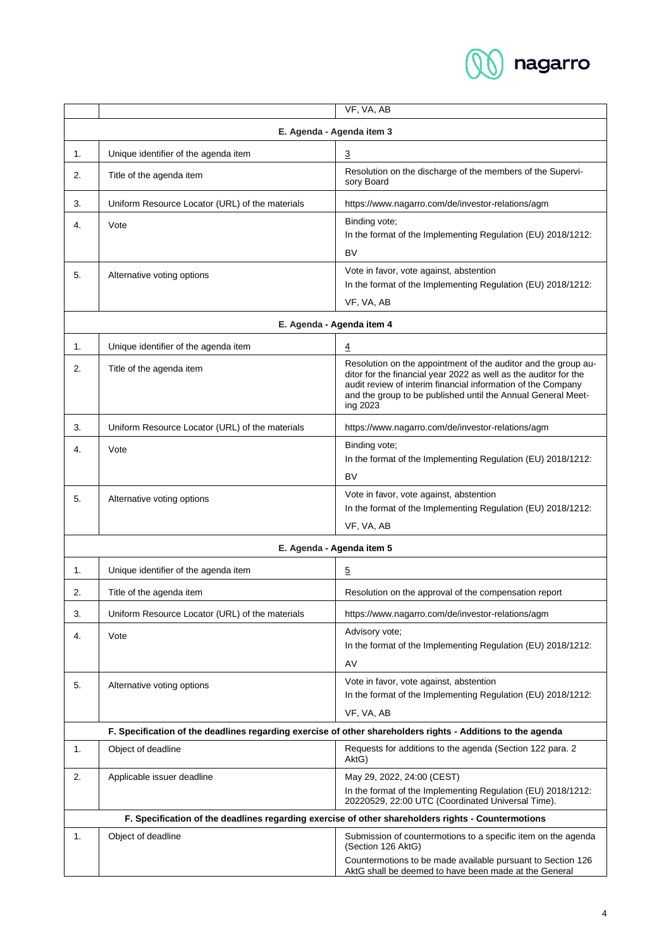

|                                                                                                    |                                                 | VF, VA, AB                                                                                                                                                                                                                                                                     |  |  |  |
|----------------------------------------------------------------------------------------------------|-------------------------------------------------|--------------------------------------------------------------------------------------------------------------------------------------------------------------------------------------------------------------------------------------------------------------------------------|--|--|--|
| E. Agenda - Agenda item 3                                                                          |                                                 |                                                                                                                                                                                                                                                                                |  |  |  |
| 1.                                                                                                 | Unique identifier of the agenda item            | 3                                                                                                                                                                                                                                                                              |  |  |  |
| 2.                                                                                                 | Title of the agenda item                        | Resolution on the discharge of the members of the Supervi-<br>sory Board                                                                                                                                                                                                       |  |  |  |
| 3.                                                                                                 | Uniform Resource Locator (URL) of the materials | https://www.nagarro.com/de/investor-relations/agm                                                                                                                                                                                                                              |  |  |  |
| 4.                                                                                                 | Vote                                            | Binding vote;<br>In the format of the Implementing Regulation (EU) 2018/1212:<br><b>BV</b>                                                                                                                                                                                     |  |  |  |
| 5.                                                                                                 | Alternative voting options                      | Vote in favor, vote against, abstention<br>In the format of the Implementing Regulation (EU) 2018/1212:<br>VF, VA, AB                                                                                                                                                          |  |  |  |
|                                                                                                    | E. Agenda - Agenda item 4                       |                                                                                                                                                                                                                                                                                |  |  |  |
| 1.                                                                                                 | Unique identifier of the agenda item            | 4                                                                                                                                                                                                                                                                              |  |  |  |
| 2.                                                                                                 | Title of the agenda item                        | Resolution on the appointment of the auditor and the group au-<br>ditor for the financial year 2022 as well as the auditor for the<br>audit review of interim financial information of the Company<br>and the group to be published until the Annual General Meet-<br>ing 2023 |  |  |  |
| 3.                                                                                                 | Uniform Resource Locator (URL) of the materials | https://www.nagarro.com/de/investor-relations/agm                                                                                                                                                                                                                              |  |  |  |
| 4.                                                                                                 | Vote                                            | Binding vote;<br>In the format of the Implementing Regulation (EU) 2018/1212:<br><b>BV</b>                                                                                                                                                                                     |  |  |  |
| 5.                                                                                                 | Alternative voting options                      | Vote in favor, vote against, abstention<br>In the format of the Implementing Regulation (EU) 2018/1212:<br>VF, VA, AB                                                                                                                                                          |  |  |  |
|                                                                                                    |                                                 | E. Agenda - Agenda item 5                                                                                                                                                                                                                                                      |  |  |  |
| 1.                                                                                                 | Unique identifier of the agenda item            | 5                                                                                                                                                                                                                                                                              |  |  |  |
| 2.                                                                                                 | Title of the agenda item                        | Resolution on the approval of the compensation report                                                                                                                                                                                                                          |  |  |  |
| 3.                                                                                                 | Uniform Resource Locator (URL) of the materials | https://www.nagarro.com/de/investor-relations/agm                                                                                                                                                                                                                              |  |  |  |
| 4.                                                                                                 | Vote                                            | Advisory vote;<br>In the format of the Implementing Regulation (EU) 2018/1212:<br>AV                                                                                                                                                                                           |  |  |  |
| 5.                                                                                                 | Alternative voting options                      | Vote in favor, vote against, abstention<br>In the format of the Implementing Regulation (EU) 2018/1212:<br>VF, VA, AB                                                                                                                                                          |  |  |  |
|                                                                                                    |                                                 | F. Specification of the deadlines regarding exercise of other shareholders rights - Additions to the agenda                                                                                                                                                                    |  |  |  |
| 1.                                                                                                 | Object of deadline                              | Requests for additions to the agenda (Section 122 para. 2<br>AktG)                                                                                                                                                                                                             |  |  |  |
| 2.                                                                                                 | Applicable issuer deadline                      | May 29, 2022, 24:00 (CEST)<br>In the format of the Implementing Regulation (EU) 2018/1212:<br>20220529, 22:00 UTC (Coordinated Universal Time).                                                                                                                                |  |  |  |
| F. Specification of the deadlines regarding exercise of other shareholders rights - Countermotions |                                                 |                                                                                                                                                                                                                                                                                |  |  |  |
| 1.                                                                                                 | Object of deadline                              | Submission of countermotions to a specific item on the agenda<br>(Section 126 AktG)<br>Countermotions to be made available pursuant to Section 126<br>AktG shall be deemed to have been made at the General                                                                    |  |  |  |